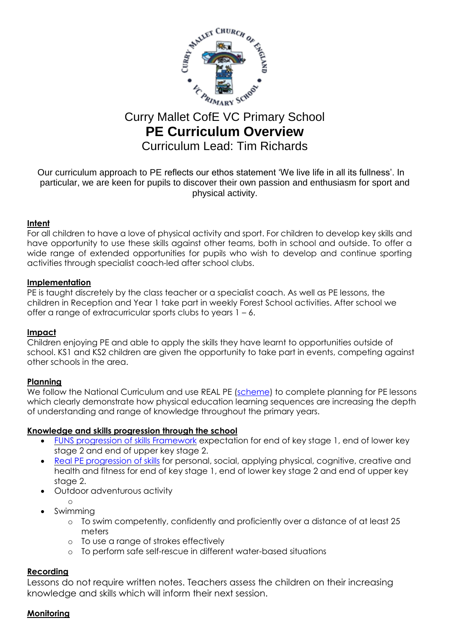

# Curry Mallet CofE VC Primary School **PE Curriculum Overview** Curriculum Lead: Tim Richards

Our curriculum approach to PE reflects our ethos statement 'We live life in all its fullness'. In particular, we are keen for pupils to discover their own passion and enthusiasm for sport and physical activity.

## **Intent**

For all children to have a love of physical activity and sport. For children to develop key skills and have opportunity to use these skills against other teams, both in school and outside. To offer a wide range of extended opportunities for pupils who wish to develop and continue sporting activities through specialist coach-led after school clubs.

## **Implementation**

PE is taught discretely by the class teacher or a specialist coach. As well as PE lessons, the children in Reception and Year 1 take part in weekly Forest School activities. After school we offer a range of extracurricular sports clubs to years 1 – 6.

#### **Impact**

Children enjoying PE and able to apply the skills they have learnt to opportunities outside of school. KS1 and KS2 children are given the opportunity to take part in events, competing against other schools in the area.

# **Planning**

We follow the National Curriculum and use REAL PE [\(scheme\)](https://real.jasmineactive.com/pe/portal/supporting-documents) to complete planning for PE lessons which clearly demonstrate how physical education learning sequences are increasing the depth of understanding and range of knowledge throughout the primary years.

#### **Knowledge and skills progression through the school**

- [FUNS progression of skills Framework](https://api.jasmineactive.com/uploads/files/FUNS-Fundamental-Movement-Skills-Progression-of-Skills.pdf) expectation for end of key stage 1, end of lower key stage 2 and end of upper key stage 2.
- [Real PE progression of skills](https://api.jasmineactive.com/uploads/files/real-PE-Progression-of-Skills.pdf) for personal, social, applying physical, cognitive, creative and health and fitness for end of key stage 1, end of lower key stage 2 and end of upper key stage 2.
- Outdoor adventurous activity
	- o
- Swimming
	- o To swim competently, confidently and proficiently over a distance of at least 25 meters
	- o To use a range of strokes effectively
	- o To perform safe self-rescue in different water-based situations

# **Recording**

Lessons do not require written notes. Teachers assess the children on their increasing knowledge and skills which will inform their next session.

# **Monitoring**